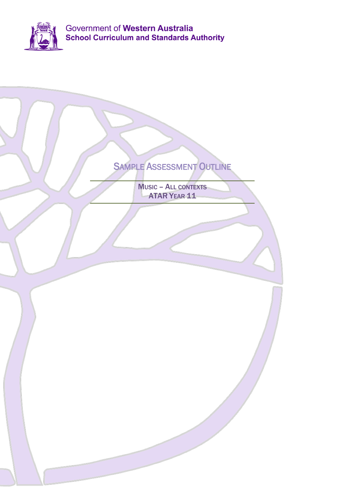

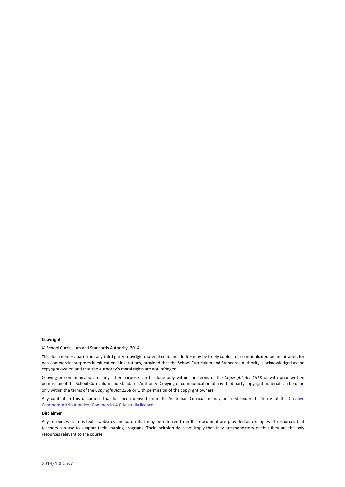#### **Copyright**

© School Curriculum and Standards Authority, 2014

This document – apart from any third party copyright material contained in it – may be freely copied, or communicated on an intranet, for non-commercial purposes in educational institutions, provided that the School Curriculum and Standards Authority is acknowledged as the copyright owner, and that the Authority's moral rights are not infringed.

Copying or communication for any other purpose can be done only within the terms of the *Copyright Act 1968* or with prior written permission of the School Curriculum and Standards Authority. Copying or communication of any third party copyright material can be done only within the terms of the *Copyright Act 1968* or with permission of the copyright owners.

Any content in this document that has been derived from the Australian Curriculum may be used under the terms of the Creative [Commons Attribution-NonCommercial 4.0 Australia licence](http://creativecommons.org/licenses/by-nc/3.0/au/)

#### **Disclaimer**

Any resources such as texts, websites and so on that may be referred to in this document are provided as examples of resources that teachers can use to support their learning programs. Their inclusion does not imply that they are mandatory or that they are the only resources relevant to the course.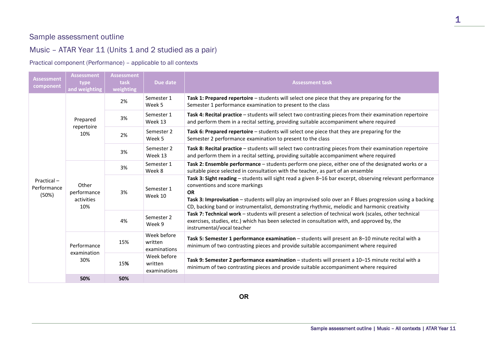# Sample assessment outline

# Music – ATAR Year 11 (Units 1 and 2 studied as a pair)

### Practical component (Performance) – applicable to all contexts

| <b>Assessment</b><br>component     | <b>Assessment</b><br>type<br>and weighting | <b>Assessment</b><br>task<br>weighting | Due date                               | <b>Assessment task</b>                                                                                                                                                                                                                                                                                                                                                |
|------------------------------------|--------------------------------------------|----------------------------------------|----------------------------------------|-----------------------------------------------------------------------------------------------------------------------------------------------------------------------------------------------------------------------------------------------------------------------------------------------------------------------------------------------------------------------|
| Practical-<br>Performance<br>(50%) | Prepared<br>repertoire<br>10%              | 2%                                     | Semester 1<br>Week 5                   | Task 1: Prepared repertoire - students will select one piece that they are preparing for the<br>Semester 1 performance examination to present to the class                                                                                                                                                                                                            |
|                                    |                                            | 3%                                     | Semester 1<br>Week 13                  | Task 4: Recital practice - students will select two contrasting pieces from their examination repertoire<br>and perform them in a recital setting, providing suitable accompaniment where required                                                                                                                                                                    |
|                                    |                                            | 2%                                     | Semester 2<br>Week 5                   | Task 6: Prepared repertoire - students will select one piece that they are preparing for the<br>Semester 2 performance examination to present to the class                                                                                                                                                                                                            |
|                                    |                                            | 3%                                     | Semester 2<br>Week 13                  | Task 8: Recital practice - students will select two contrasting pieces from their examination repertoire<br>and perform them in a recital setting, providing suitable accompaniment where required                                                                                                                                                                    |
|                                    | Other<br>performance<br>activities<br>10%  | 3%                                     | Semester 1<br>Week 8                   | Task 2: Ensemble performance - students perform one piece, either one of the designated works or a<br>suitable piece selected in consultation with the teacher, as part of an ensemble                                                                                                                                                                                |
|                                    |                                            | 3%                                     | Semester 1<br>Week 10                  | Task 3: Sight reading - students will sight read a given 8-16 bar excerpt, observing relevant performance<br>conventions and score markings<br><b>OR</b><br>Task 3: Improvisation - students will play an improvised solo over an F Blues progression using a backing<br>CD, backing band or instrumentalist, demonstrating rhythmic, melodic and harmonic creativity |
|                                    |                                            | 4%                                     | Semester 2<br>Week 9                   | Task 7: Technical work - students will present a selection of technical work (scales, other technical<br>exercises, studies, etc.) which has been selected in consultation with, and approved by, the<br>instrumental/vocal teacher                                                                                                                                   |
|                                    | Performance<br>examination<br>30%          | 15%                                    | Week before<br>written<br>examinations | Task 5: Semester 1 performance examination - students will present an 8-10 minute recital with a<br>minimum of two contrasting pieces and provide suitable accompaniment where required                                                                                                                                                                               |
|                                    |                                            | 15%                                    | Week before<br>written<br>examinations | Task 9: Semester 2 performance examination - students will present a 10-15 minute recital with a<br>minimum of two contrasting pieces and provide suitable accompaniment where required                                                                                                                                                                               |
|                                    | 50%                                        | 50%                                    |                                        |                                                                                                                                                                                                                                                                                                                                                                       |

1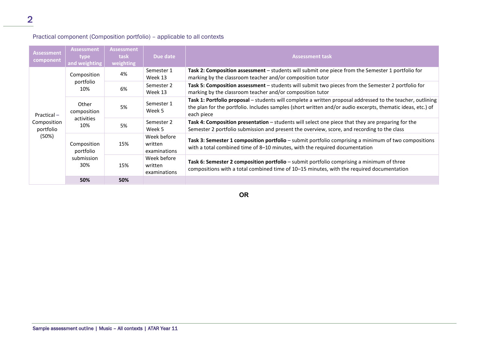### Practical component (Composition portfolio) – applicable to all contexts

| <b>Assessment</b><br>component                     | <b>Assessment</b><br><b>type</b><br>and weighting | <b>Assessment</b><br>task<br>weighting | Due date                               | <b>Assessment task</b>                                                                                                                                                                                                                  |
|----------------------------------------------------|---------------------------------------------------|----------------------------------------|----------------------------------------|-----------------------------------------------------------------------------------------------------------------------------------------------------------------------------------------------------------------------------------------|
| $Practical -$<br>Composition<br>portfolio<br>(50%) | Composition<br>portfolio<br>10%                   | 4%                                     | Semester 1<br>Week 13                  | Task 2: Composition assessment – students will submit one piece from the Semester 1 portfolio for<br>marking by the classroom teacher and/or composition tutor                                                                          |
|                                                    |                                                   | 6%                                     | Semester 2<br>Week 13                  | Task 5: Composition assessment - students will submit two pieces from the Semester 2 portfolio for<br>marking by the classroom teacher and/or composition tutor                                                                         |
|                                                    | Other<br>composition<br>activities<br>10%         | 5%                                     | Semester 1<br>Week 5                   | Task 1: Portfolio proposal - students will complete a written proposal addressed to the teacher, outlining<br>the plan for the portfolio. Includes samples (short written and/or audio excerpts, thematic ideas, etc.) of<br>each piece |
|                                                    |                                                   | 5%                                     | Semester 2<br>Week 5                   | Task 4: Composition presentation - students will select one piece that they are preparing for the<br>Semester 2 portfolio submission and present the overview, score, and recording to the class                                        |
|                                                    | Composition<br>portfolio<br>submission<br>30%     | 15%                                    | Week before<br>written<br>examinations | Task 3: Semester 1 composition portfolio – submit portfolio comprising a minimum of two compositions<br>with a total combined time of 8-10 minutes, with the required documentation                                                     |
|                                                    |                                                   | 15%                                    | Week before<br>written<br>examinations | Task 6: Semester 2 composition portfolio – submit portfolio comprising a minimum of three<br>compositions with a total combined time of 10–15 minutes, with the required documentation                                                  |
|                                                    | 50%                                               | 50%                                    |                                        |                                                                                                                                                                                                                                         |

**OR**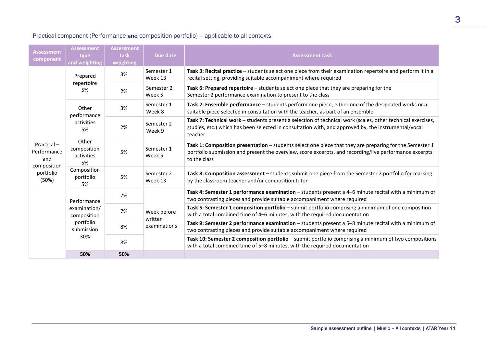### Practical component (Performance and composition portfolio) – applicable to all contexts

| <b>Assessment</b><br>component                                        | <b>Assessment</b><br>type<br>and weighting                                   | <b>Assessment</b><br>task<br>weighting | Due date                               | <b>Assessment task</b>                                                                                                                                                                                                            |
|-----------------------------------------------------------------------|------------------------------------------------------------------------------|----------------------------------------|----------------------------------------|-----------------------------------------------------------------------------------------------------------------------------------------------------------------------------------------------------------------------------------|
| Practical-<br>Performance<br>and<br>composition<br>portfolio<br>(50%) | Prepared<br>repertoire<br>5%                                                 | 3%                                     | Semester 1<br>Week 13                  | Task 3: Recital practice - students select one piece from their examination repertoire and perform it in a<br>recital setting, providing suitable accompaniment where required                                                    |
|                                                                       |                                                                              | 2%                                     | Semester 2<br>Week 5                   | Task 6: Prepared repertoire – students select one piece that they are preparing for the<br>Semester 2 performance examination to present to the class                                                                             |
|                                                                       | Other<br>performance<br>activities<br>5%                                     | 3%                                     | Semester 1<br>Week 8                   | Task 2: Ensemble performance - students perform one piece, either one of the designated works or a<br>suitable piece selected in consultation with the teacher, as part of an ensemble                                            |
|                                                                       |                                                                              | 2%                                     | Semester 2<br>Week 9                   | Task 7: Technical work - students present a selection of technical work (scales, other technical exercises,<br>studies, etc.) which has been selected in consultation with, and approved by, the instrumental/vocal<br>teacher    |
|                                                                       | Other<br>composition<br>activities<br>5%                                     | 5%                                     | Semester 1<br>Week 5                   | Task 1: Composition presentation - students select one piece that they are preparing for the Semester 1<br>portfolio submission and present the overview, score excerpts, and recording/live performance excerpts<br>to the class |
|                                                                       | Composition<br>portfolio<br>5%                                               | 5%                                     | Semester 2<br>Week 13                  | Task 8: Composition assessment - students submit one piece from the Semester 2 portfolio for marking<br>by the classroom teacher and/or composition tutor                                                                         |
|                                                                       | Performance<br>examination/<br>composition<br>portfolio<br>submission<br>30% | 7%                                     | Week before<br>written<br>examinations | Task 4: Semester 1 performance examination - students present a 4-6 minute recital with a minimum of<br>two contrasting pieces and provide suitable accompaniment where required                                                  |
|                                                                       |                                                                              | 7%                                     |                                        | Task 5: Semester 1 composition portfolio - submit portfolio comprising a minimum of one composition<br>with a total combined time of 4-6 minutes, with the required documentation                                                 |
|                                                                       |                                                                              | 8%                                     |                                        | Task 9: Semester 2 performance examination - students present a 5-8 minute recital with a minimum of<br>two contrasting pieces and provide suitable accompaniment where required                                                  |
|                                                                       |                                                                              | 8%                                     |                                        | Task 10: Semester 2 composition portfolio - submit portfolio comprising a minimum of two compositions<br>with a total combined time of 5-8 minutes, with the required documentation                                               |
|                                                                       | 50%                                                                          | 50%                                    |                                        |                                                                                                                                                                                                                                   |